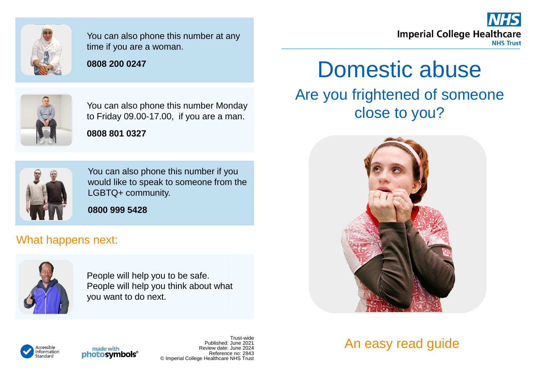

You can also phone this number at any time if you are a woman.

## **0808 200 0247**



You can also phone this number Monday to Friday 09.00-17.00, if you are a man.

**0808 801 0327**



You can also phone this number if you would like to speak to someone from the LGBTQ+ community.

**0800 999 5428** 

## What happens next:



้<br>ก่ormation

People will help you to be safe. People will help you think about what you want to do next.

## Domestic abuse Are you frightened of someone close to you?

**Imperial College Healthcare** 

**NHS Trust** 



## An easy read guide



Trust-wide Published: June 2021 Review date: June 2024 Reference no: 2843 © Imperial College Healthcare NHS Trust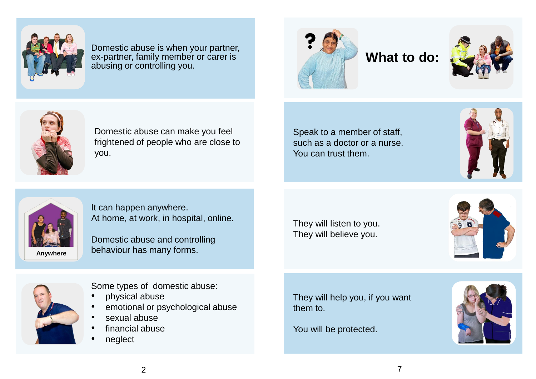

Domestic abuse is when your partner, ex-partner, family member or carer is abusing or controlling you.



**What to do:**





Domestic abuse can make you feel frightened of people who are close to you.

Speak to a member of staff, such as a doctor or a nurse. You can trust them.





It can happen anywhere. At home, at work, in hospital, online.

Domestic abuse and controlling behaviour has many forms.

They will listen to you. They will believe you.





Some types of domestic abuse:

- physical abuse
- emotional or psychological abuse
- sexual abuse
- financial abuse
- neglect

They will help you, if you want them to.

You will be protected.

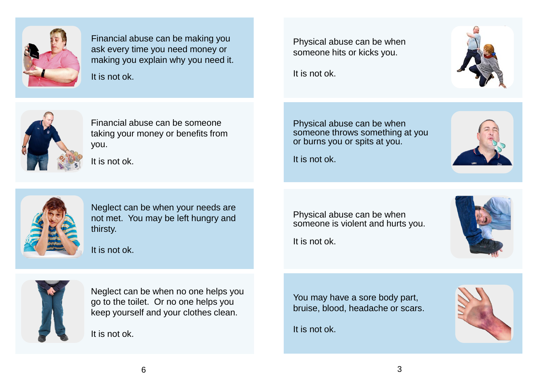

Financial abuse can be making you ask every time you need money or making you explain why you need it. It is not ok.

Physical abuse can be when someone hits or kicks you.

It is not ok.



Financial abuse can be someone taking your money or benefits from you.

It is not ok.

Physical abuse can be when someone throws something at you or burns you or spits at you.

It is not ok.





Neglect can be when your needs are not met. You may be left hungry and thirsty.

It is not ok.

Neglect can be when no one helps you go to the toilet. Or no one helps you keep yourself and your clothes clean.

It is not ok.

Physical abuse can be when someone is violent and hurts you.

It is not ok.



You may have a sore body part, bruise, blood, headache or scars.

It is not ok.